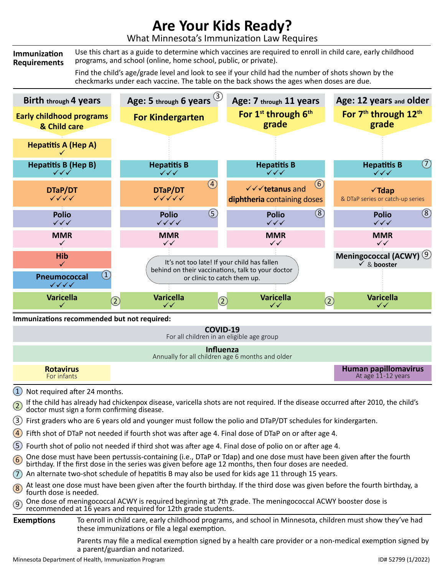## **Are Your Kids Ready?**

What Minnesota's Immunization Law Requires

**Immunization Requirements** Use this chart as a guide to determine which vaccines are required to enroll in child care, early childhood programs, and school (online, home school, public, or private).

> Find the child's age/grade level and look to see if your child had the number of shots shown by the checkmarks under each vaccine. The table on the back shows the ages when doses are due.



Parents may file a medical exemption signed by a health care provider or a non-medical exemption signed by

a parent/guardian and notarized.